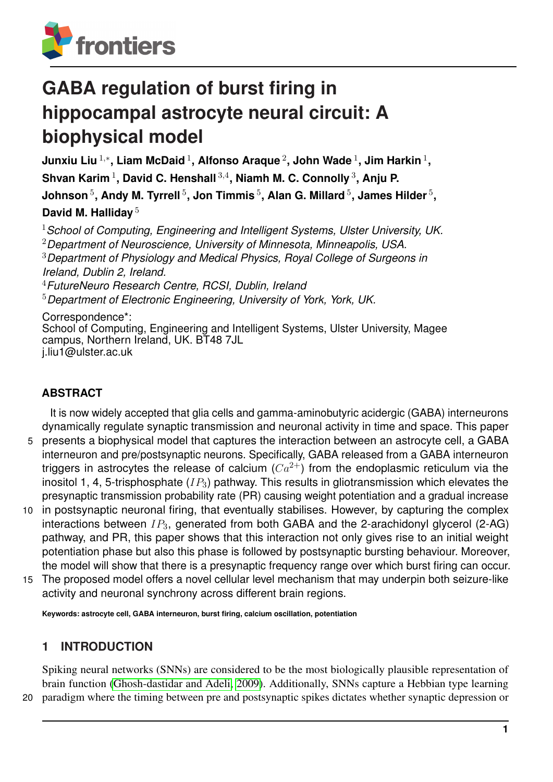

# **GABA regulation of burst firing in hippocampal astrocyte neural circuit: A biophysical model**

**Junxiu Liu** <sup>1</sup>,<sup>∗</sup> **, Liam McDaid** <sup>1</sup> **, Alfonso Araque** <sup>2</sup> **, John Wade** <sup>1</sup> **, Jim Harkin** <sup>1</sup> **, Shvan Karim** <sup>1</sup> **, David C. Henshall** <sup>3</sup>,<sup>4</sup> **, Niamh M. C. Connolly** <sup>3</sup> **, Anju P.** <code>Johnson</code>  $^5$ , Andy M. Tyrrell  $^5$ , Jon Timmis  $^5$ , Alan G. Millard  $^5$ , James Hilder  $^5$ , **David M. Halliday** <sup>5</sup>

*School of Computing, Engineering and Intelligent Systems, Ulster University, UK. Department of Neuroscience, University of Minnesota, Minneapolis, USA. Department of Physiology and Medical Physics, Royal College of Surgeons in Ireland, Dublin 2, Ireland. FutureNeuro Research Centre, RCSI, Dublin, Ireland Department of Electronic Engineering, University of York, York, UK.* Correspondence\*: School of Computing, Engineering and Intelligent Systems, Ulster University, Magee

campus, Northern Ireland, UK. BT48 7JL

j.liu1@ulster.ac.uk

# **ABSTRACT**

It is now widely accepted that glia cells and gamma-aminobutyric acidergic (GABA) interneurons dynamically regulate synaptic transmission and neuronal activity in time and space. This paper

- 5 presents a biophysical model that captures the interaction between an astrocyte cell, a GABA interneuron and pre/postsynaptic neurons. Specifically, GABA released from a GABA interneuron triggers in astrocytes the release of calcium  $(Ca^{2+})$  from the endoplasmic reticulum via the inositol 1, 4, 5-trisphosphate  $(IP_3)$  pathway. This results in gliotransmission which elevates the presynaptic transmission probability rate (PR) causing weight potentiation and a gradual increase
- 10 in postsynaptic neuronal firing, that eventually stabilises. However, by capturing the complex interactions between  $IP_3$ , generated from both GABA and the 2-arachidonyl glycerol (2-AG) pathway, and PR, this paper shows that this interaction not only gives rise to an initial weight potentiation phase but also this phase is followed by postsynaptic bursting behaviour. Moreover, the model will show that there is a presynaptic frequency range over which burst firing can occur.
- 15 The proposed model offers a novel cellular level mechanism that may underpin both seizure-like activity and neuronal synchrony across different brain regions.

**Keywords: astrocyte cell, GABA interneuron, burst firing, calcium oscillation, potentiation**

# **1 INTRODUCTION**

Spiking neural networks (SNNs) are considered to be the most biologically plausible representation of brain function [\(Ghosh-dastidar and Adeli, 2009\)](#page-17-0). Additionally, SNNs capture a Hebbian type learning 20 paradigm where the timing between pre and postsynaptic spikes dictates whether synaptic depression or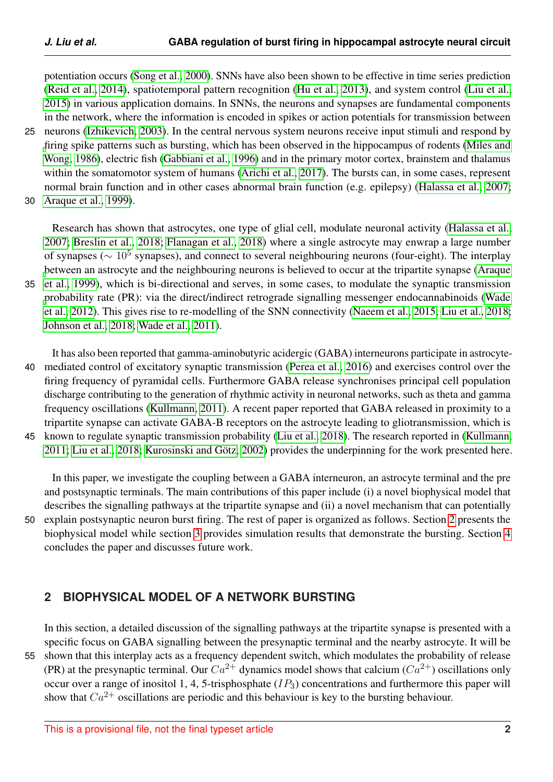potentiation occurs [\(Song et al., 2000\)](#page-18-0). SNNs have also been shown to be effective in time series prediction [\(Reid et al., 2014\)](#page-18-1), spatiotemporal pattern recognition [\(Hu et al., 2013\)](#page-17-1), and system control [\(Liu et al.,](#page-17-2) [2015\)](#page-17-2) in various application domains. In SNNs, the neurons and synapses are fundamental components in the network, where the information is encoded in spikes or action potentials for transmission between 25 neurons [\(Izhikevich, 2003\)](#page-17-3). In the central nervous system neurons receive input stimuli and respond by [fi](#page-18-2)ring spike patterns such as bursting, which has been observed in the hippocampus of rodents [\(Miles and](#page-18-2) [Wong, 1986\)](#page-18-2), electric fish [\(Gabbiani et al., 1996\)](#page-17-4) and in the primary motor cortex, brainstem and thalamus within the somatomotor system of humans [\(Arichi et al., 2017\)](#page-16-0). The bursts can, in some cases, represent normal brain function and in other cases abnormal brain function (e.g. epilepsy) [\(Halassa et al., 2007;](#page-17-5)

30 [Araque et al., 1999\)](#page-16-1).

Research has shown that astrocytes, one type of glial cell, modulate neuronal activity [\(Halassa et al.,](#page-17-5) [2007;](#page-17-5) [Breslin et al., 2018;](#page-16-2) [Flanagan et al., 2018\)](#page-17-6) where a single astrocyte may enwrap a large number of synapses ( $\sim 10^5$  synapses), and connect to several neighbouring neurons (four-eight). The interplay [b](#page-16-1)etween an astrocyte and the neighbouring neurons is believed to occur at the tripartite synapse [\(Araque](#page-16-1) 35 [et al., 1999\)](#page-16-1), which is bi-directional and serves, in some cases, to modulate the synaptic transmission [p](#page-18-3)robability rate (PR): via the direct/indirect retrograde signalling messenger endocannabinoids [\(Wade](#page-18-3) [et al., 2012\)](#page-18-3). This gives rise to re-modelling of the SNN connectivity [\(Naeem et al., 2015;](#page-18-4) [Liu et al., 2018;](#page-17-7) [Johnson et al., 2018;](#page-17-8) [Wade et al., 2011\)](#page-18-5).

It has also been reported that gamma-aminobutyric acidergic (GABA) interneurons participate in astrocyte-40 mediated control of excitatory synaptic transmission [\(Perea et al., 2016\)](#page-18-6) and exercises control over the firing frequency of pyramidal cells. Furthermore GABA release synchronises principal cell population discharge contributing to the generation of rhythmic activity in neuronal networks, such as theta and gamma frequency oscillations [\(Kullmann, 2011\)](#page-17-9). A recent paper reported that GABA released in proximity to a tripartite synapse can activate GABA-B receptors on the astrocyte leading to gliotransmission, which is 45 known to regulate synaptic transmission probability [\(Liu et al., 2018\)](#page-17-7). The research reported in [\(Kullmann,](#page-17-9) [2011;](#page-17-9) [Liu et al., 2018;](#page-17-7) Kurosinski and Götz, 2002) provides the underpinning for the work presented here.

In this paper, we investigate the coupling between a GABA interneuron, an astrocyte terminal and the pre and postsynaptic terminals. The main contributions of this paper include (i) a novel biophysical model that

describes the signalling pathways at the tripartite synapse and (ii) a novel mechanism that can potentially 50 explain postsynaptic neuron burst firing. The rest of paper is organized as follows. Section [2](#page-1-0) presents the biophysical model while section [3](#page-9-0) provides simulation results that demonstrate the bursting. Section [4](#page-14-0) concludes the paper and discusses future work.

## <span id="page-1-0"></span>**2 BIOPHYSICAL MODEL OF A NETWORK BURSTING**

In this section, a detailed discussion of the signalling pathways at the tripartite synapse is presented with a specific focus on GABA signalling between the presynaptic terminal and the nearby astrocyte. It will be 55 shown that this interplay acts as a frequency dependent switch, which modulates the probability of release (PR) at the presynaptic terminal. Our  $Ca^{2+}$  dynamics model shows that calcium  $(Ca^{2+})$  oscillations only occur over a range of inositol 1, 4, 5-trisphosphate  $(IP_3)$  concentrations and furthermore this paper will show that  $Ca^{2+}$  oscillations are periodic and this behaviour is key to the bursting behaviour.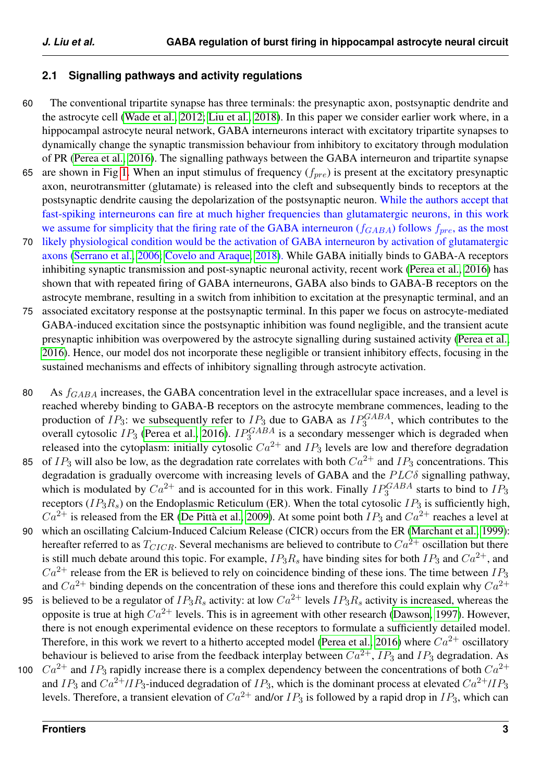### <span id="page-2-0"></span>**2.1 Signalling pathways and activity regulations**

- 60 The conventional tripartite synapse has three terminals: the presynaptic axon, postsynaptic dendrite and the astrocyte cell [\(Wade et al., 2012;](#page-18-3) [Liu et al., 2018\)](#page-17-7). In this paper we consider earlier work where, in a hippocampal astrocyte neural network, GABA interneurons interact with excitatory tripartite synapses to dynamically change the synaptic transmission behaviour from inhibitory to excitatory through modulation of PR [\(Perea et al., 2016\)](#page-18-6). The signalling pathways between the GABA interneuron and tripartite synapse
- 65 are shown in Fig [1.](#page-3-0) When an input stimulus of frequency  $(f_{pre})$  is present at the excitatory presynaptic axon, neurotransmitter (glutamate) is released into the cleft and subsequently binds to receptors at the postsynaptic dendrite causing the depolarization of the postsynaptic neuron. While the authors accept that fast-spiking interneurons can fire at much higher frequencies than glutamatergic neurons, in this work we assume for simplicity that the firing rate of the GABA interneuron  $(f_{GABA})$  follows  $f_{pre}$ , as the most
- 70 likely physiological condition would be the activation of GABA interneuron by activation of glutamatergic axons [\(Serrano et al., 2006;](#page-18-7) [Covelo and Araque, 2018\)](#page-16-3). While GABA initially binds to GABA-A receptors inhibiting synaptic transmission and post-synaptic neuronal activity, recent work [\(Perea et al., 2016\)](#page-18-6) has shown that with repeated firing of GABA interneurons, GABA also binds to GABA-B receptors on the astrocyte membrane, resulting in a switch from inhibition to excitation at the presynaptic terminal, and an
- 75 associated excitatory response at the postsynaptic terminal. In this paper we focus on astrocyte-mediated GABA-induced excitation since the postsynaptic inhibition was found negligible, and the transient acute presynaptic inhibition was overpowered by the astrocyte signalling during sustained activity [\(Perea et al.,](#page-18-6) [2016\)](#page-18-6). Hence, our model dos not incorporate these negligible or transient inhibitory effects, focusing in the sustained mechanisms and effects of inhibitory signalling through astrocyte activation.
- 80 As  $f_{GABA}$  increases, the GABA concentration level in the extracellular space increases, and a level is reached whereby binding to GABA-B receptors on the astrocyte membrane commences, leading to the production of  $IP_3$ : we subsequently refer to  $IP_3$  due to GABA as  $IP_3^{GABA}$ , which contributes to the overall cytosolic  $IP_3$  [\(Perea et al., 2016\)](#page-18-6).  $IP_3^{GABA}$  is a secondary messenger which is degraded when released into the cytoplasm: initially cytosolic  $Ca^{2+}$  and  $IP_3$  levels are low and therefore degradation 85 of  $IP_3$  will also be low, as the degradation rate correlates with both  $Ca^{2+}$  and  $IP_3$  concentrations. This degradation is gradually overcome with increasing levels of GABA and the  $PLC\delta$  signalling pathway, which is modulated by  $Ca^{2+}$  and is accounted for in this work. Finally  $IP_3^{GABA}$  starts to bind to  $IP_3$ receptors ( $IP_3R_s$ ) on the Endoplasmic Reticulum (ER). When the total cytosolic  $IP_3$  is sufficiently high,  $Ca^{2+}$  is released from the ER (De Pittà et al., 2009). At some point both  $IP_3$  and  $Ca^{2+}$  reaches a level at 90 which an oscillating Calcium-Induced Calcium Release (CICR) occurs from the ER [\(Marchant et al., 1999\)](#page-17-11): hereafter referred to as  $T_{CICR}$ . Several mechanisms are believed to contribute to  $Ca^{2+}$  oscillation but there is still much debate around this topic. For example,  $IP_3R_s$  have binding sites for both  $IP_3$  and  $Ca^{2+}$ , and  $Ca^{2+}$  release from the ER is believed to rely on coincidence binding of these ions. The time between  $IP_3$ and  $Ca^{2+}$  binding depends on the concentration of these ions and therefore this could explain why  $Ca^{2+}$ 95 is believed to be a regulator of  $IP_3R_s$  activity: at low  $Ca^{2+}$  levels  $IP_3R_s$  activity is increased, whereas the opposite is true at high  $Ca^{2+}$  levels. This is in agreement with other research [\(Dawson, 1997\)](#page-16-5). However, there is not enough experimental evidence on these receptors to formulate a sufficiently detailed model. Therefore, in this work we revert to a hitherto accepted model [\(Perea et al., 2016\)](#page-18-6) where  $Ca^{2+}$  oscillatory behaviour is believed to arise from the feedback interplay between  $Ca^{2+}$ ,  $IP_3$  and  $IP_3$  degradation. As 100  $Ca^{2+}$  and  $IP_3$  rapidly increase there is a complex dependency between the concentrations of both  $Ca^{2+}$ and  $IP_3$  and  $Ca^{2+}/IP_3$ -induced degradation of  $IP_3$ , which is the dominant process at elevated  $Ca^{2+}/IP_3$ 
	- levels. Therefore, a transient elevation of  $Ca^{2+}$  and/or  $IP_3$  is followed by a rapid drop in  $IP_3$ , which can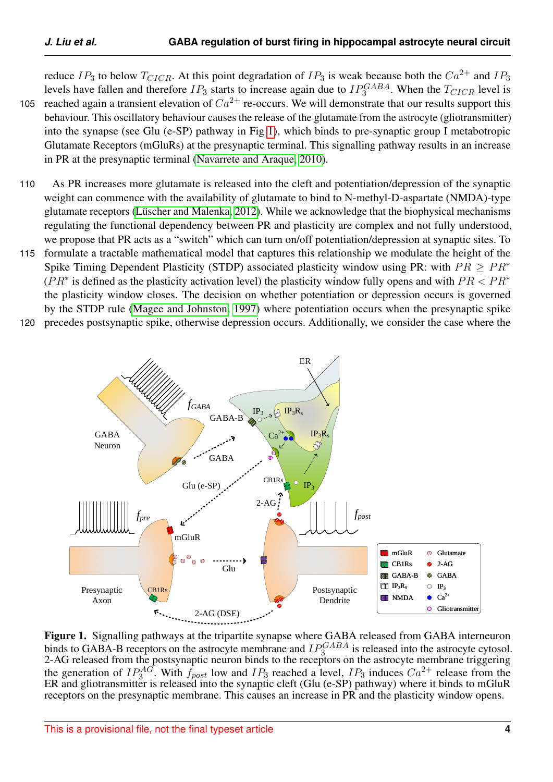reduce  $IP_3$  to below  $T_{CICR}$ . At this point degradation of  $IP_3$  is weak because both the  $Ca^{2+}$  and  $IP_3$ levels have fallen and therefore  $IP_3$  starts to increase again due to  $IP_3^{GABA}$ . When the  $T_{CICR}$  level is 105 reached again a transient elevation of  $Ca^{2+}$  re-occurs. We will demonstrate that our results support this behaviour. This oscillatory behaviour causes the release of the glutamate from the astrocyte (gliotransmitter) into the synapse (see Glu (e-SP) pathway in Fig [1\)](#page-3-0), which binds to pre-synaptic group I metabotropic Glutamate Receptors (mGluRs) at the presynaptic terminal. This signalling pathway results in an increase

in PR at the presynaptic terminal [\(Navarrete and Araque, 2010\)](#page-18-8).

- 110 As PR increases more glutamate is released into the cleft and potentiation/depression of the synaptic weight can commence with the availability of glutamate to bind to N-methyl-D-aspartate (NMDA)-type glutamate receptors (Lüscher and Malenka, 2012). While we acknowledge that the biophysical mechanisms regulating the functional dependency between PR and plasticity are complex and not fully understood, we propose that PR acts as a "switch" which can turn on/off potentiation/depression at synaptic sites. To
- 115 formulate a tractable mathematical model that captures this relationship we modulate the height of the Spike Timing Dependent Plasticity (STDP) associated plasticity window using PR: with  $PR > PR^*$  $(PR^*$  is defined as the plasticity activation level) the plasticity window fully opens and with  $PR < PR^*$ the plasticity window closes. The decision on whether potentiation or depression occurs is governed by the STDP rule [\(Magee and Johnston, 1997\)](#page-17-13) where potentiation occurs when the presynaptic spike
- 120 precedes postsynaptic spike, otherwise depression occurs. Additionally, we consider the case where the

<span id="page-3-0"></span>

Figure 1. Signalling pathways at the tripartite synapse where GABA released from GABA interneuron binds to GABA-B receptors on the astrocyte membrane and  $IP_3^{GABA}$  is released into the astrocyte cytosol. 2-AG released from the postsynaptic neuron binds to the receptors on the astrocyte membrane triggering the generation of  $IP_3^{AG}$ . With  $f_{post}$  low and  $IP_3$  reached a level,  $IP_3$  induces  $Ca^{2+}$  release from the ER and gliotransmitter is released into the synaptic cleft (Glu (e-SP) pathway) where it binds to mGluR receptors on the presynaptic membrane. This causes an increase in PR and the plasticity window opens.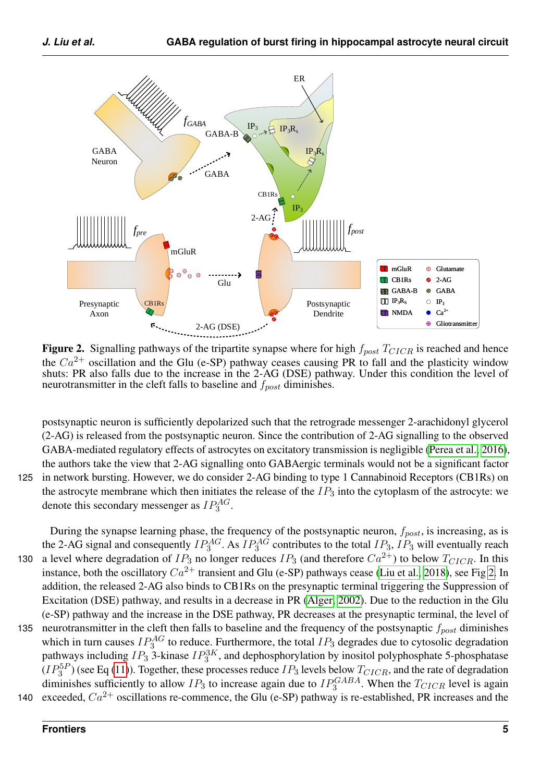<span id="page-4-0"></span>

Figure 2. Signalling pathways of the tripartite synapse where for high  $f_{post}T_{CICR}$  is reached and hence the  $Ca^{2+}$  oscillation and the Glu (e-SP) pathway ceases causing PR to fall and the plasticity window shuts: PR also falls due to the increase in the 2-AG (DSE) pathway. Under this condition the level of neurotransmitter in the cleft falls to baseline and  $f_{post}$  diminishes.

postsynaptic neuron is sufficiently depolarized such that the retrograde messenger 2-arachidonyl glycerol (2-AG) is released from the postsynaptic neuron. Since the contribution of 2-AG signalling to the observed GABA-mediated regulatory effects of astrocytes on excitatory transmission is negligible [\(Perea et al., 2016\)](#page-18-6), the authors take the view that 2-AG signalling onto GABAergic terminals would not be a significant factor 125 in network bursting. However, we do consider 2-AG binding to type 1 Cannabinoid Receptors (CB1Rs) on the astrocyte membrane which then initiates the release of the  $IP_3$  into the cytoplasm of the astrocyte: we denote this secondary messenger as  $IP_3^{AG}$ .

During the synapse learning phase, the frequency of the postsynaptic neuron,  $f_{post}$ , is increasing, as is the 2-AG signal and consequently  $IP_3^{AG}$ . As  $IP_3^{AG}$  contributes to the total  $IP_3$ ,  $IP_3$  will eventually reach 130 a level where degradation of  $IP_3$  no longer reduces  $IP_3$  (and therefore  $Ca^{2+}$ ) to below  $T_{CICR}$ . In this instance, both the oscillatory  $Ca^{2+}$  transient and Glu (e-SP) pathways cease [\(Liu et al., 2018\)](#page-17-7), see Fig [2.](#page-4-0) In addition, the released 2-AG also binds to CB1Rs on the presynaptic terminal triggering the Suppression of Excitation (DSE) pathway, and results in a decrease in PR [\(Alger, 2002\)](#page-16-6). Due to the reduction in the Glu (e-SP) pathway and the increase in the DSE pathway, PR decreases at the presynaptic terminal, the level of 135 neurotransmitter in the cleft then falls to baseline and the frequency of the postsynaptic  $f_{post}$  diminishes which in turn causes  $IP_3^{AG}$  to reduce. Furthermore, the total  $IP_3$  degrades due to cytosolic degradation pathways including  $IP_3$  3-kinase  $IP_3^{3K}$ , and dephosphorylation by inositol polyphosphate 5-phosphatase  $(IP_3^{5P})$  (see Eq [\(11\)](#page-7-0)). Together, these processes reduce  $IP_3$  levels below  $T_{CICR}$ , and the rate of degradation diminishes sufficiently to allow  $IP_3$  to increase again due to  $IP_3^{GABA}$ . When the  $T_{CICR}$  level is again 140 exceeded,  $Ca^{2+}$  oscillations re-commence, the Glu (e-SP) pathway is re-established, PR increases and the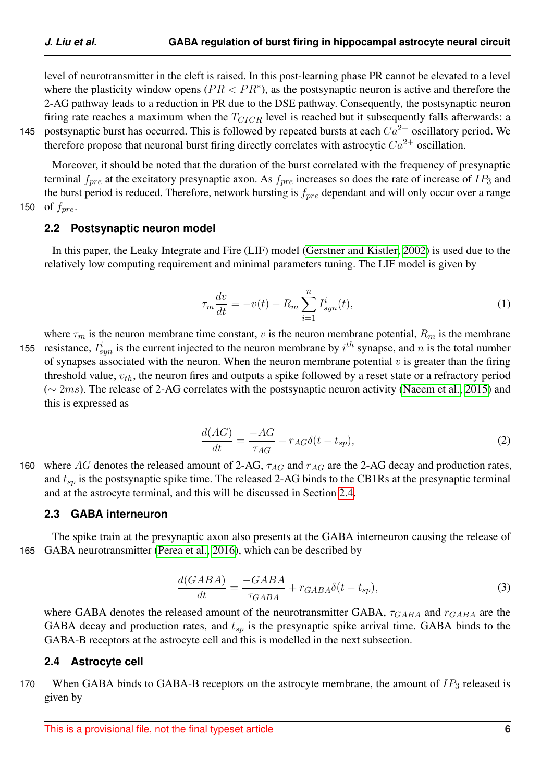level of neurotransmitter in the cleft is raised. In this post-learning phase PR cannot be elevated to a level where the plasticity window opens ( $PR < PR^*$ ), as the postsynaptic neuron is active and therefore the 2-AG pathway leads to a reduction in PR due to the DSE pathway. Consequently, the postsynaptic neuron firing rate reaches a maximum when the  $T_{CICR}$  level is reached but it subsequently falls afterwards: a 145 postsynaptic burst has occurred. This is followed by repeated bursts at each  $Ca^{2+}$  oscillatory period. We therefore propose that neuronal burst firing directly correlates with astrocytic  $Ca^{2+}$  oscillation.

Moreover, it should be noted that the duration of the burst correlated with the frequency of presynaptic terminal  $f_{pre}$  at the excitatory presynaptic axon. As  $f_{pre}$  increases so does the rate of increase of  $IP_3$  and the burst period is reduced. Therefore, network bursting is  $f_{pre}$  dependant and will only occur over a range 150 of  $f_{pre}$ .

#### **2.2 Postsynaptic neuron model**

In this paper, the Leaky Integrate and Fire (LIF) model [\(Gerstner and Kistler, 2002\)](#page-17-14) is used due to the relatively low computing requirement and minimal parameters tuning. The LIF model is given by

$$
\tau_m \frac{dv}{dt} = -v(t) + R_m \sum_{i=1}^n I_{syn}^i(t), \qquad (1)
$$

where  $\tau_m$  is the neuron membrane time constant, v is the neuron membrane potential,  $R_m$  is the membrane 155 resistance,  $I_{syn}^i$  is the current injected to the neuron membrane by  $i^{th}$  synapse, and n is the total number of synapses associated with the neuron. When the neuron membrane potential  $v$  is greater than the firing threshold value,  $v_{th}$ , the neuron fires and outputs a spike followed by a reset state or a refractory period  $(\sim 2ms)$ . The release of 2-AG correlates with the postsynaptic neuron activity [\(Naeem et al., 2015\)](#page-18-4) and this is expressed as

$$
\frac{d(AG)}{dt} = \frac{-AG}{\tau_{AG}} + r_{AG}\delta(t - t_{sp}),\tag{2}
$$

160 where AG denotes the released amount of 2-AG,  $\tau_{AG}$  and  $r_{AG}$  are the 2-AG decay and production rates, and  $t_{sp}$  is the postsynaptic spike time. The released 2-AG binds to the CB1Rs at the presynaptic terminal and at the astrocyte terminal, and this will be discussed in Section [2.4.](#page-5-0)

#### **2.3 GABA interneuron**

The spike train at the presynaptic axon also presents at the GABA interneuron causing the release of 165 GABA neurotransmitter [\(Perea et al., 2016\)](#page-18-6), which can be described by

$$
\frac{d(GABA)}{dt} = \frac{-GABA}{\tau_{GABA}} + r_{GABA}\delta(t - t_{sp}),\tag{3}
$$

where GABA denotes the released amount of the neurotransmitter GABA,  $\tau_{GABA}$  and  $\tau_{GABA}$  are the GABA decay and production rates, and  $t_{sp}$  is the presynaptic spike arrival time. GABA binds to the GABA-B receptors at the astrocyte cell and this is modelled in the next subsection.

#### <span id="page-5-0"></span>**2.4 Astrocyte cell**

170 When GABA binds to GABA-B receptors on the astrocyte membrane, the amount of  $IP<sub>3</sub>$  released is given by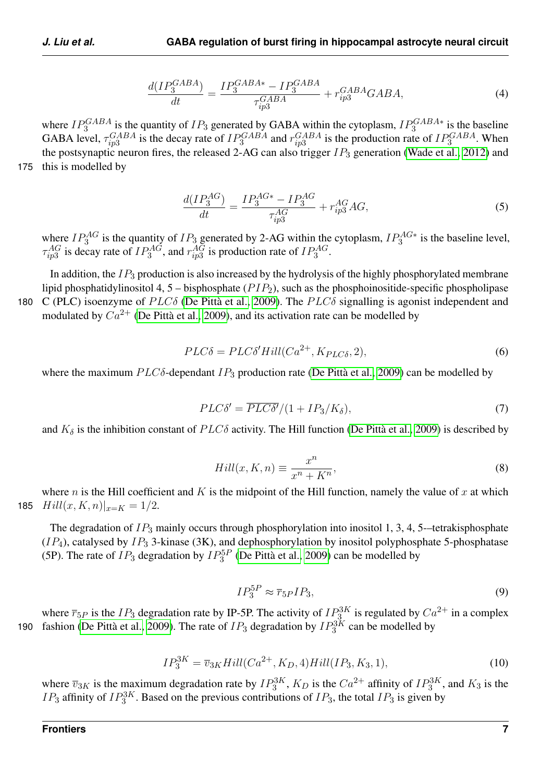$$
\frac{d(IP_3^{GABA})}{dt} = \frac{IP_3^{GABA*} - IP_3^{GABA}}{\tau_{ip3}^{GABA}} + r_{ip3}^{GABA}GABA,\tag{4}
$$

where  $IP_3^{GABA}$  is the quantity of  $IP_3$  generated by GABA within the cytoplasm,  $IP_3^{GABA*}$  is the baseline GABA level,  $\tau_{ip3}^{GABA}$  is the decay rate of  $IP_3^{GABA}$  and  $r_{ip3}^{GABA}$  is the production rate of  $IP_3^{GABA}$ . When the postsynaptic neuron fires, the released 2-AG can also trigger  $IP_3$  generation [\(Wade et al., 2012\)](#page-18-3) and 175 this is modelled by

$$
\frac{d(IP_3^{AG})}{dt} = \frac{IP_3^{AG*} - IP_3^{AG}}{\tau_{ip3}^{AG}} + r_{ip3}^{AG} AG,\tag{5}
$$

where  $IP_3^{AG}$  is the quantity of  $IP_3$  generated by 2-AG within the cytoplasm,  $IP_3^{AG*}$  is the baseline level,  $\tau_{ip3}^{AG}$  is decay rate of  $IP_3^{AG}$ , and  $r_{ip3}^{AG}$  is production rate of  $IP_3^{AG}$ .

In addition, the  $IP_3$  production is also increased by the hydrolysis of the highly phosphorylated membrane lipid phosphatidylinositol 4, 5 – bisphosphate  $(PIP_2)$ , such as the phosphoinositide-specific phospholipase 180 C (PLC) isoenzyme of  $PLC\delta$  (De Pittà et al., 2009). The  $PLC\delta$  signalling is agonist independent and modulated by  $Ca^{2+}$  (De Pittà et al., 2009), and its activation rate can be modelled by

$$
PLC\delta = PLC\delta' Hill(Ca^{2+}, K_{PLC\delta}, 2),
$$
\n(6)

where the maximum  $PLC\delta$ -dependant  $IP_3$  production rate (De Pittà et al., 2009) can be modelled by

$$
PLC\delta' = \overline{PLC\delta'}/(1 + IP_3/K_\delta),\tag{7}
$$

and  $K_{\delta}$  is the inhibition constant of  $PLC\delta$  activity. The Hill function (De Pittà et al., 2009) is described by

$$
Hill(x, K, n) \equiv \frac{x^n}{x^n + K^n},
$$
\n(8)

where n is the Hill coefficient and K is the midpoint of the Hill function, namely the value of x at which 185  $Hill(x, K, n)|_{x=K} = 1/2.$ 

The degradation of  $IP_3$  mainly occurs through phosphorylation into inositol 1, 3, 4, 5--tetrakisphosphate  $(IP_4)$ , catalysed by  $IP_3$  3-kinase (3K), and dephosphorylation by inositol polyphosphate 5-phosphatase (5P). The rate of  $IP_3$  degradation by  $IP_3^{5P}$  (De Pittà et al., 2009) can be modelled by

$$
IP_3^{5P} \approx \overline{r}_{5P}IP_3,\tag{9}
$$

where  $\overline{r}_{5P}$  is the  $IP_3$  degradation rate by IP-5P. The activity of  $IP_3^{3K}$  is regulated by  $Ca^{2+}$  in a complex 190 fashion (De Pittà et al., 2009). The rate of  $IP_3$  degradation by  $IP_3^{3K}$  can be modelled by

<span id="page-6-0"></span>
$$
IP_3^{3K} = \overline{v}_{3K}Hill(Ca^{2+}, K_D, 4)Hill(ID, K_3, 1),
$$
\n(10)

where  $\overline{v}_{3K}$  is the maximum degradation rate by  $IP_3^{3K}$ ,  $K_D$  is the  $Ca^{2+}$  affinity of  $IP_3^{3K}$ , and  $K_3$  is the  $IP_3$  affinity of  $IP_3^{3K}$ . Based on the previous contributions of  $IP_3$ , the total  $IP_3$  is given by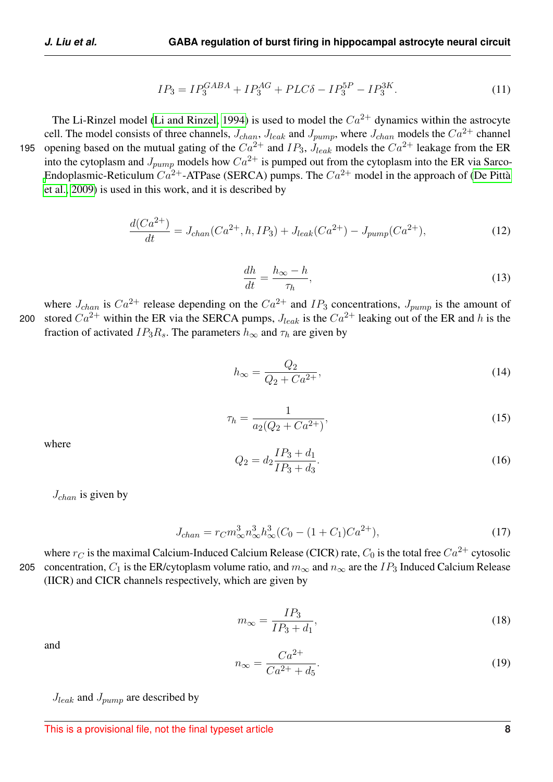<span id="page-7-0"></span>
$$
IP_3 = IP_3^{GABA} + IP_3^{AG} + PLC\delta - IP_3^{5P} - IP_3^{3K}.
$$
\n(11)

The Li-Rinzel model [\(Li and Rinzel, 1994\)](#page-17-15) is used to model the  $Ca^{2+}$  dynamics within the astrocyte cell. The model consists of three channels,  $J_{chan}$ ,  $J_{leak}$  and  $J_{pump}$ , where  $J_{chan}$  models the  $Ca^{2+}$  channel 195 opening based on the mutual gating of the  $Ca^{2+}$  and  $IP_3$ ,  $J_{leak}$  models the  $Ca^{2+}$  leakage from the ER into the cytoplasm and  $J_{pump}$  models how  $Ca^{2+}$  is pumped out from the cytoplasm into the ER via Sarco-[E](#page-16-4)ndoplasmic-Reticulum  $Ca^{2+}$ -ATPase (SERCA) pumps. The  $Ca^{2+}$  model in the approach of (De Pittà [et al., 2009\)](#page-16-4) is used in this work, and it is described by

<span id="page-7-2"></span>
$$
\frac{d(Ca^{2+})}{dt} = J_{chan}(Ca^{2+}, h, IP_3) + J_{leak}(Ca^{2+}) - J_{pump}(Ca^{2+}),
$$
\n(12)

$$
\frac{dh}{dt} = \frac{h_{\infty} - h}{\tau_h},\tag{13}
$$

where  $J_{chan}$  is  $Ca^{2+}$  release depending on the  $Ca^{2+}$  and  $IP_3$  concentrations,  $J_{pump}$  is the amount of 200 stored  $Ca^{2+}$  within the ER via the SERCA pumps,  $J_{leak}$  is the  $Ca^{2+}$  leaking out of the ER and h is the fraction of activated  $IP_3R_s$ . The parameters  $h_{\infty}$  and  $\tau_h$  are given by

$$
h_{\infty} = \frac{Q_2}{Q_2 + Ca^{2+}},\tag{14}
$$

$$
\tau_h = \frac{1}{a_2(Q_2 + Ca^{2+})},\tag{15}
$$

where

$$
Q_2 = d_2 \frac{IP_3 + d_1}{IP_3 + d_3}.
$$
\n(16)

 $J_{chan}$  is given by

<span id="page-7-1"></span>
$$
J_{chan} = r_C m_{\infty}^3 n_{\infty}^3 h_{\infty}^3 (C_0 - (1 + C_1) C a^{2+}), \qquad (17)
$$

where  $r_C$  is the maximal Calcium-Induced Calcium Release (CICR) rate,  $C_0$  is the total free  $Ca^{2+}$  cytosolic 205 concentration,  $C_1$  is the ER/cytoplasm volume ratio, and  $m_{\infty}$  and  $n_{\infty}$  are the IP<sub>3</sub> Induced Calcium Release (IICR) and CICR channels respectively, which are given by

$$
m_{\infty} = \frac{IP_3}{IP_3 + d_1},\tag{18}
$$

and

$$
n_{\infty} = \frac{Ca^{2+}}{Ca^{2+} + d_5}.
$$
 (19)

 $J_{leak}$  and  $J_{pump}$  are described by

This is a provisional file, not the final typeset article **8**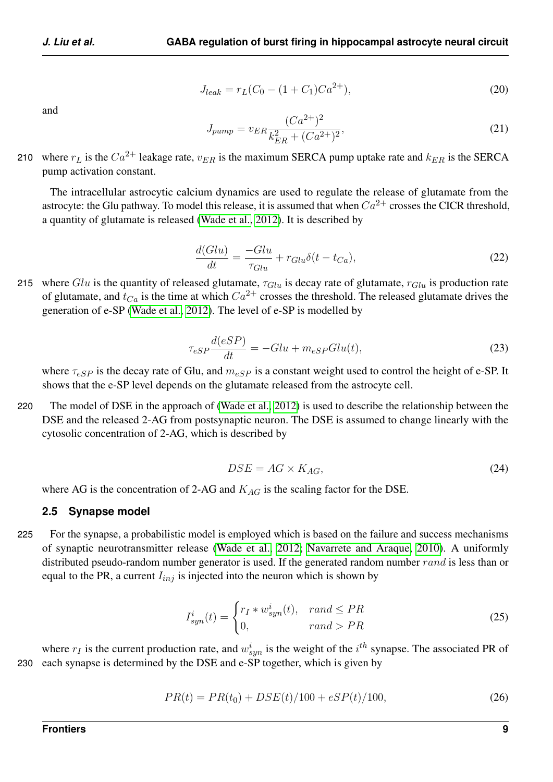and

$$
J_{leak} = r_L(C_0 - (1 + C_1)Ca^{2+}),
$$
\n(20)

$$
J_{pump} = v_{ER} \frac{(Ca^{2+})^2}{k_{ER}^2 + (Ca^{2+})^2},\tag{21}
$$

210 where  $r_L$  is the  $Ca^{2+}$  leakage rate,  $v_{ER}$  is the maximum SERCA pump uptake rate and  $k_{ER}$  is the SERCA pump activation constant.

The intracellular astrocytic calcium dynamics are used to regulate the release of glutamate from the astrocyte: the Glu pathway. To model this release, it is assumed that when  $Ca^{2+}$  crosses the CICR threshold, a quantity of glutamate is released [\(Wade et al., 2012\)](#page-18-3). It is described by

$$
\frac{d(Glu)}{dt} = \frac{-Glu}{\tau_{Glu}} + r_{Glu}\delta(t - t_{Ca}),\tag{22}
$$

215 where Glu is the quantity of released glutamate,  $\tau_{Glu}$  is decay rate of glutamate,  $r_{Glu}$  is production rate of glutamate, and  $t_{Ca}$  is the time at which  $Ca^{2+}$  crosses the threshold. The released glutamate drives the generation of e-SP [\(Wade et al., 2012\)](#page-18-3). The level of e-SP is modelled by

$$
\tau_{eSP} \frac{d(eSP)}{dt} = -Glu + m_{eSP} Glu(t),\tag{23}
$$

where  $\tau_{eSP}$  is the decay rate of Glu, and  $m_{eSP}$  is a constant weight used to control the height of e-SP. It shows that the e-SP level depends on the glutamate released from the astrocyte cell.

220 The model of DSE in the approach of [\(Wade et al., 2012\)](#page-18-3) is used to describe the relationship between the DSE and the released 2-AG from postsynaptic neuron. The DSE is assumed to change linearly with the cytosolic concentration of 2-AG, which is described by

$$
DSE = AG \times K_{AG},\tag{24}
$$

where AG is the concentration of 2-AG and  $K_{AG}$  is the scaling factor for the DSE.

#### **2.5 Synapse model**

225 For the synapse, a probabilistic model is employed which is based on the failure and success mechanisms of synaptic neurotransmitter release [\(Wade et al., 2012;](#page-18-3) [Navarrete and Araque, 2010\)](#page-18-8). A uniformly distributed pseudo-random number generator is used. If the generated random number rand is less than or equal to the PR, a current  $I_{inj}$  is injected into the neuron which is shown by

<span id="page-8-0"></span>
$$
I_{syn}^{i}(t) = \begin{cases} r_I * w_{syn}^{i}(t), & rand \le PR \\ 0, & rand > PR \end{cases}
$$
 (25)

where  $r_I$  is the current production rate, and  $w_{syn}^i$  is the weight of the  $i^{th}$  synapse. The associated PR of 230 each synapse is determined by the DSE and e-SP together, which is given by

$$
PR(t) = PR(t_0) + DSE(t)/100 + eSP(t)/100,
$$
\n(26)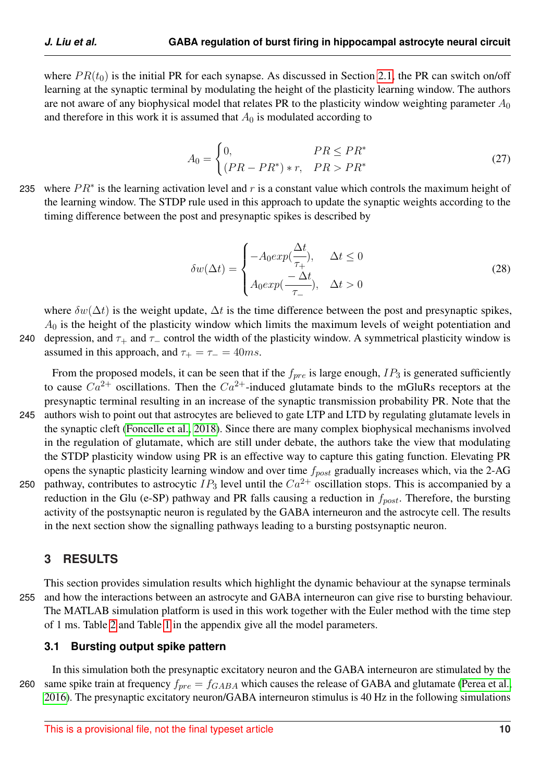where  $PR(t_0)$  is the initial PR for each synapse. As discussed in Section [2.1,](#page-2-0) the PR can switch on/off learning at the synaptic terminal by modulating the height of the plasticity learning window. The authors are not aware of any biophysical model that relates PR to the plasticity window weighting parameter  $A_0$ and therefore in this work it is assumed that  $A_0$  is modulated according to

<span id="page-9-1"></span>
$$
A_0 = \begin{cases} 0, & PR \le PR^* \\ (PR - PR^*) * r, & PR > PR^* \end{cases}
$$
 (27)

235 where  $PR^*$  is the learning activation level and r is a constant value which controls the maximum height of the learning window. The STDP rule used in this approach to update the synaptic weights according to the timing difference between the post and presynaptic spikes is described by

$$
\delta w(\Delta t) = \begin{cases}\n-A_0 exp(\frac{\Delta t}{\tau_+}), & \Delta t \le 0 \\
A_0 exp(\frac{-\Delta t}{\tau_-}), & \Delta t > 0\n\end{cases}
$$
\n(28)

where  $\delta w(\Delta t)$  is the weight update,  $\Delta t$  is the time difference between the post and presynaptic spikes,  $A_0$  is the height of the plasticity window which limits the maximum levels of weight potentiation and 240 depression, and  $\tau_+$  and  $\tau_-$  control the width of the plasticity window. A symmetrical plasticity window is

assumed in this approach, and  $\tau_{+} = \tau_{-} = 40$ ms.

From the proposed models, it can be seen that if the  $f_{pre}$  is large enough,  $IP_3$  is generated sufficiently to cause  $Ca^{2+}$  oscillations. Then the  $Ca^{2+}$ -induced glutamate binds to the mGluRs receptors at the presynaptic terminal resulting in an increase of the synaptic transmission probability PR. Note that the 245 authors wish to point out that astrocytes are believed to gate LTP and LTD by regulating glutamate levels in the synaptic cleft [\(Foncelle et al., 2018\)](#page-17-16). Since there are many complex biophysical mechanisms involved in the regulation of glutamate, which are still under debate, the authors take the view that modulating

the STDP plasticity window using PR is an effective way to capture this gating function. Elevating PR opens the synaptic plasticity learning window and over time  $f_{post}$  gradually increases which, via the 2-AG 250 pathway, contributes to astrocytic  $IP_3$  level until the  $Ca^{2+}$  oscillation stops. This is accompanied by a reduction in the Glu (e-SP) pathway and PR falls causing a reduction in  $f_{post}$ . Therefore, the bursting activity of the postsynaptic neuron is regulated by the GABA interneuron and the astrocyte cell. The results in the next section show the signalling pathways leading to a bursting postsynaptic neuron.

## <span id="page-9-0"></span>**3 RESULTS**

This section provides simulation results which highlight the dynamic behaviour at the synapse terminals 255 and how the interactions between an astrocyte and GABA interneuron can give rise to bursting behaviour. The MATLAB simulation platform is used in this work together with the Euler method with the time step of 1 ms. Table [2](#page-19-0) and Table [1](#page-19-1) in the appendix give all the model parameters.

#### **3.1 Bursting output spike pattern**

In this simulation both the presynaptic excitatory neuron and the GABA interneuron are stimulated by the 260 same spike train at frequency  $f_{pre} = f_{GABA}$  which causes the release of GABA and glutamate [\(Perea et al.,](#page-18-6) [2016\)](#page-18-6). The presynaptic excitatory neuron/GABA interneuron stimulus is 40 Hz in the following simulations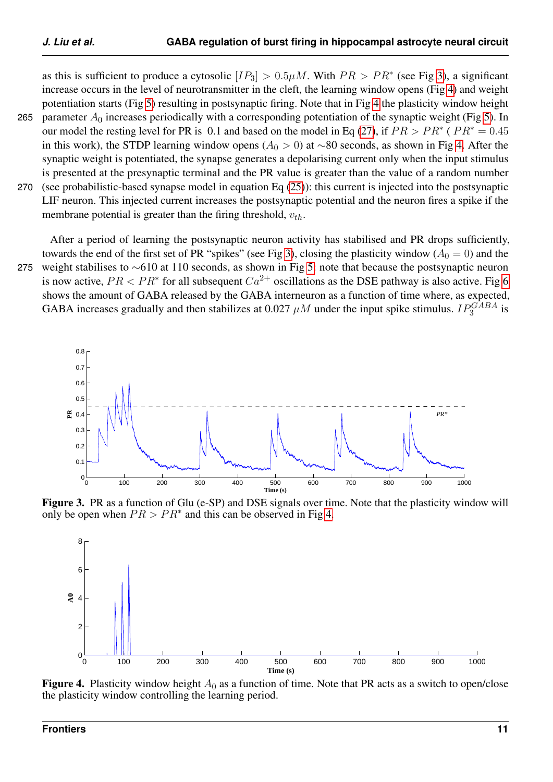as this is sufficient to produce a cytosolic  $[IP_3] > 0.5 \mu M$ . With  $PR > PR^*$  (see Fig [3\)](#page-10-0), a significant increase occurs in the level of neurotransmitter in the cleft, the learning window opens (Fig [4\)](#page-10-1) and weight potentiation starts (Fig [5\)](#page-11-0) resulting in postsynaptic firing. Note that in Fig [4](#page-10-1) the plasticity window height 265 parameter  $A_0$  increases periodically with a corresponding potentiation of the synaptic weight (Fig [5\)](#page-11-0). In our model the resting level for PR is 0.1 and based on the model in Eq [\(27\)](#page-9-1), if  $PR > PR^*$  ( $PR^* = 0.45$ ) in this work), the STDP learning window opens ( $A_0 > 0$ ) at ∼80 seconds, as shown in Fig [4.](#page-10-1) After the synaptic weight is potentiated, the synapse generates a depolarising current only when the input stimulus

is presented at the presynaptic terminal and the PR value is greater than the value of a random number 270 (see probabilistic-based synapse model in equation Eq [\(25\)](#page-8-0)): this current is injected into the postsynaptic LIF neuron. This injected current increases the postsynaptic potential and the neuron fires a spike if the membrane potential is greater than the firing threshold,  $v_{th}$ .

After a period of learning the postsynaptic neuron activity has stabilised and PR drops sufficiently, towards the end of the first set of PR "spikes" (see Fig [3\)](#page-10-0), closing the plasticity window ( $A_0 = 0$ ) and the 275 weight stabilises to ∼610 at 110 seconds, as shown in Fig [5:](#page-11-0) note that because the postsynaptic neuron

is now active,  $PR < PR^*$  for all subsequent  $Ca^{2+}$  oscillations as the DSE pathway is also active. Fig [6](#page-11-1) shows the amount of GABA released by the GABA interneuron as a function of time where, as expected, GABA increases gradually and then stabilizes at 0.027  $\mu$ M under the input spike stimulus.  $IP_3^{GABA}$  is

<span id="page-10-0"></span>

Figure 3. PR as a function of Glu (e-SP) and DSE signals over time. Note that the plasticity window will only be open when  $PR > PR^*$  and this can be observed in Fig [4.](#page-10-1)

<span id="page-10-1"></span>

**Figure 4.** Plasticity window height  $A_0$  as a function of time. Note that PR acts as a switch to open/close the plasticity window controlling the learning period.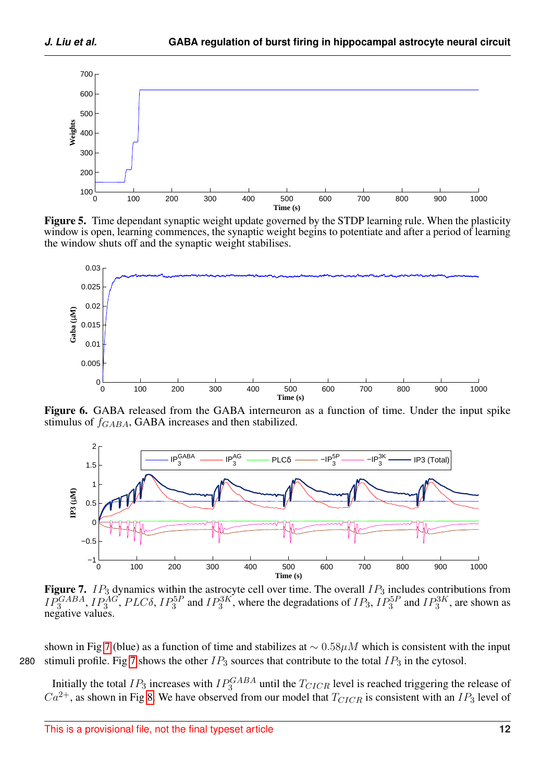<span id="page-11-0"></span>

Figure 5. Time dependant synaptic weight update governed by the STDP learning rule. When the plasticity window is open, learning commences, the synaptic weight begins to potentiate and after a period of learning the window shuts off and the synaptic weight stabilises.

<span id="page-11-1"></span>

Figure 6. GABA released from the GABA interneuron as a function of time. Under the input spike stimulus of  $f_{GABA}$ , GABA increases and then stabilized.

<span id="page-11-2"></span>

Figure 7.  $IP_3$  dynamics within the astrocyte cell over time. The overall  $IP_3$  includes contributions from  $IP_3^{GABA}$ ,  $IP_3^{AG}$ ,  $PLC\delta$ ,  $IP_3^{5P}$  and  $IP_3^{3K}$ , where the degradations of  $IP_3$ ,  $IP_3^{5P}$  and  $IP_3^{3K}$ , are shown as negative values.

shown in Fig [7](#page-11-2) (blue) as a function of time and stabilizes at  $\sim 0.58 \mu M$  which is consistent with the input 280 stimuli profile. Fig [7](#page-11-2) shows the other  $IP_3$  sources that contribute to the total  $IP_3$  in the cytosol.

Initially the total  $IP_3$  increases with  $IP_3^{GABA}$  until the  $T_{CICR}$  level is reached triggering the release of  $Ca^{2+}$ , as shown in Fig [8.](#page-12-0) We have observed from our model that  $T_{CICR}$  is consistent with an  $IP_3$  level of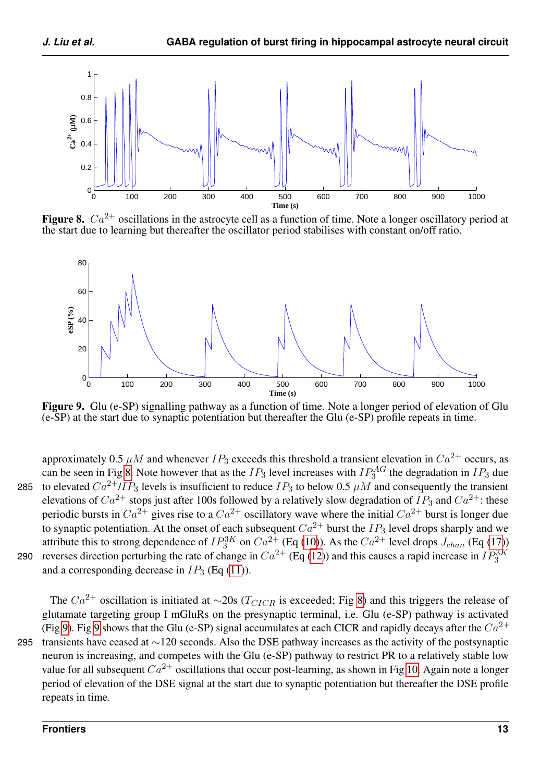<span id="page-12-0"></span>

Figure 8.  $Ca^{2+}$  oscillations in the astrocyte cell as a function of time. Note a longer oscillatory period at the start due to learning but thereafter the oscillator period stabilises with constant on/off ratio.

<span id="page-12-1"></span>

Figure 9. Glu (e-SP) signalling pathway as a function of time. Note a longer period of elevation of Glu (e-SP) at the start due to synaptic potentiation but thereafter the Glu (e-SP) profile repeats in time.

approximately 0.5  $\mu$ M and whenever IP<sub>3</sub> exceeds this threshold a transient elevation in Ca<sup>2+</sup> occurs, as can be seen in Fig [8.](#page-12-0) Note however that as the  $IP_3$  level increases with  $IP_3^{AG}$  the degradation in  $IP_3$  due 285 to elevated  $Ca^{2+}/IP_3$  levels is insufficient to reduce  $IP_3$  to below 0.5  $\mu$ M and consequently the transient elevations of  $Ca^{2+}$  stops just after 100s followed by a relatively slow degradation of  $IP_3$  and  $Ca^{2+}$ : these periodic bursts in  $Ca^{2+}$  gives rise to a  $Ca^{2+}$  oscillatory wave where the initial  $Ca^{2+}$  burst is longer due to synaptic potentiation. At the onset of each subsequent  $Ca^{2+}$  burst the IP<sub>3</sub> level drops sharply and we attribute this to strong dependence of  $IP_3^{3K}$  on  $Ca^{2+}$  (Eq [\(10\)](#page-6-0)). As the  $Ca^{2+}$  level drops  $J_{chan}$  (Eq [\(17\)](#page-7-1)) reverses direction perturbing the rate of change in  $Ca^{2+}$  (Eq [\(12\)](#page-7-2)) and this causes a rapid increase in  $IP_3^{3K}$ 290 and a corresponding decrease in  $IP_3$  (Eq [\(11\)](#page-7-0)).

The  $Ca^{2+}$  oscillation is initiated at ∼20s ( $T_{CICR}$  is exceeded; Fig [8\)](#page-12-0) and this triggers the release of glutamate targeting group I mGluRs on the presynaptic terminal, i.e. Glu (e-SP) pathway is activated (Fig [9\)](#page-12-1). Fig [9](#page-12-1) shows that the Glu (e-SP) signal accumulates at each CICR and rapidly decays after the  $Ca^{2+}$ 295 transients have ceased at ∼120 seconds. Also the DSE pathway increases as the activity of the postsynaptic neuron is increasing, and competes with the Glu (e-SP) pathway to restrict PR to a relatively stable low value for all subsequent  $Ca^{2+}$  oscillations that occur post-learning, as shown in Fig [10.](#page-13-0) Again note a longer period of elevation of the DSE signal at the start due to synaptic potentiation but thereafter the DSE profile repeats in time.

#### **Frontiers 13**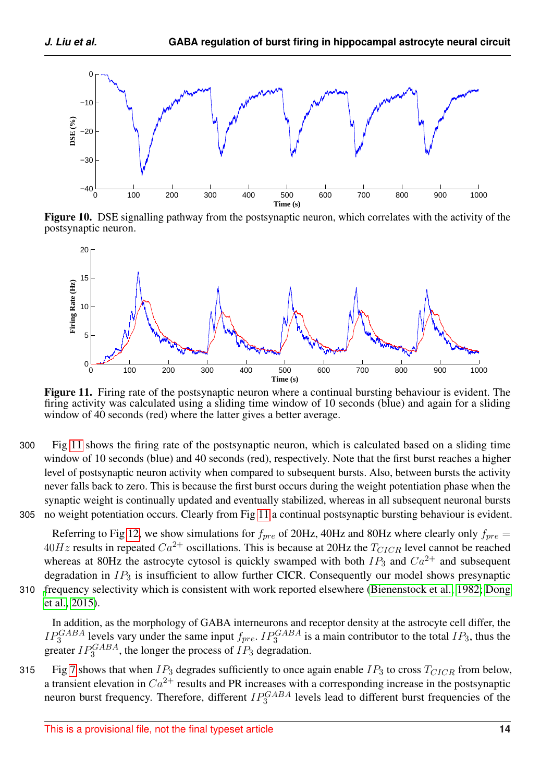<span id="page-13-0"></span>

Figure 10. DSE signalling pathway from the postsynaptic neuron, which correlates with the activity of the postsynaptic neuron.

<span id="page-13-1"></span>

Figure 11. Firing rate of the postsynaptic neuron where a continual bursting behaviour is evident. The firing activity was calculated using a sliding time window of 10 seconds (blue) and again for a sliding window of 40 seconds (red) where the latter gives a better average.

300 Fig [11](#page-13-1) shows the firing rate of the postsynaptic neuron, which is calculated based on a sliding time window of 10 seconds (blue) and 40 seconds (red), respectively. Note that the first burst reaches a higher level of postsynaptic neuron activity when compared to subsequent bursts. Also, between bursts the activity never falls back to zero. This is because the first burst occurs during the weight potentiation phase when the synaptic weight is continually updated and eventually stabilized, whereas in all subsequent neuronal bursts 305 no weight potentiation occurs. Clearly from Fig [11](#page-13-1) a continual postsynaptic bursting behaviour is evident.

Referring to Fig [12,](#page-14-1) we show simulations for  $f_{pre}$  of 20Hz, 40Hz and 80Hz where clearly only  $f_{pre}$  $40Hz$  results in repeated  $Ca^{2+}$  oscillations. This is because at 20Hz the  $T_{CICR}$  level cannot be reached whereas at 80Hz the astrocyte cytosol is quickly swamped with both  $IP_3$  and  $Ca^{2+}$  and subsequent degradation in  $IP_3$  is insufficient to allow further CICR. Consequently our model shows presynaptic 310 [f](#page-16-8)requency selectivity which is consistent with work reported elsewhere [\(Bienenstock et al., 1982;](#page-16-7) [Dong](#page-16-8) [et al., 2015\)](#page-16-8).

In addition, as the morphology of GABA interneurons and receptor density at the astrocyte cell differ, the  $IP_3^{GABA}$  levels vary under the same input  $f_{pre}$ .  $IP_3^{GABA}$  is a main contributor to the total  $IP_3$ , thus the greater  $IP_3^{GABA}$ , the longer the process of  $IP_3$  degradation.

315 Fig [7](#page-11-2) shows that when  $IP_3$  degrades sufficiently to once again enable  $IP_3$  to cross  $T_{CICR}$  from below, a transient elevation in  $Ca^{2+}$  results and PR increases with a corresponding increase in the postsynaptic neuron burst frequency. Therefore, different  $IP_3^{GABA}$  levels lead to different burst frequencies of the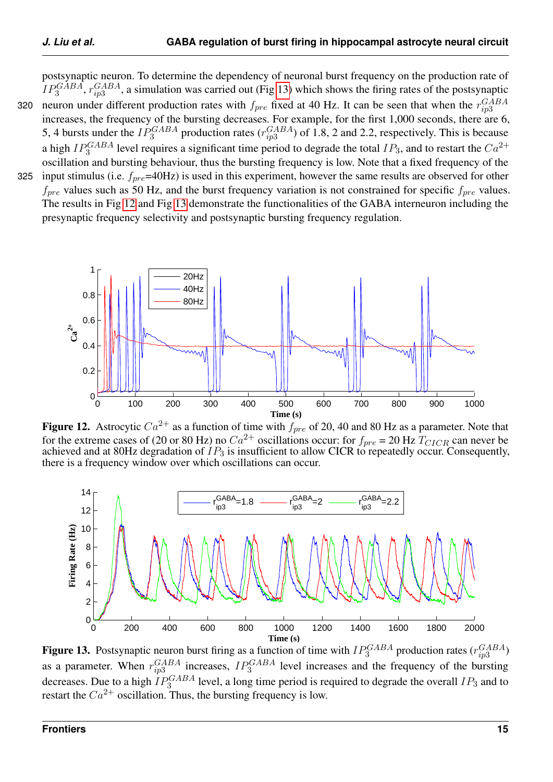postsynaptic neuron. To determine the dependency of neuronal burst frequency on the production rate of  $IP_3^{GABA}$ ,  $r_{ip3}^{GABA}$ , a simulation was carried out (Fig [13\)](#page-14-2) which shows the firing rates of the postsynaptic neuron under different production rates with  $f_{pre}$  fixed at 40 Hz. It can be seen that when the  $r_{ip3}^{GABA}$ 320 increases, the frequency of the bursting decreases. For example, for the first 1,000 seconds, there are 6, 5, 4 bursts under the  $IP_3^{GABA}$  production rates  $(r_{ip3}^{GABA})$  of 1.8, 2 and 2.2, respectively. This is because a high  $IP_3^{GABA}$  level requires a significant time period to degrade the total  $IP_3$ , and to restart the  $Ca^{2+}$ oscillation and bursting behaviour, thus the bursting frequency is low. Note that a fixed frequency of the

325 input stimulus (i.e.  $f_{pre}$ =40Hz) is used in this experiment, however the same results are observed for other  $f_{pre}$  values such as 50 Hz, and the burst frequency variation is not constrained for specific  $f_{pre}$  values. The results in Fig [12](#page-14-1) and Fig [13](#page-14-2) demonstrate the functionalities of the GABA interneuron including the presynaptic frequency selectivity and postsynaptic bursting frequency regulation.

<span id="page-14-1"></span><span id="page-14-0"></span>

Figure 12. Astrocytic  $Ca^{2+}$  as a function of time with  $f_{pre}$  of 20, 40 and 80 Hz as a parameter. Note that for the extreme cases of (20 or 80 Hz) no  $Ca^{2+}$  oscillations occur: for  $f_{pre} = 20$  Hz  $T_{CICR}$  can never be achieved and at 80Hz degradation of  $IP_3$  is insufficient to allow CICR to repeatedly occur. Consequently, there is a frequency window over which oscillations can occur.

<span id="page-14-2"></span>

**Figure 13.** Postsynaptic neuron burst firing as a function of time with  $IP_3^{GABA}$  production rates  $(r_{ip3}^{GABA})$ as a parameter. When  $r_{ip3}^{GABA}$  increases,  $IP_3^{GABA}$  level increases and the frequency of the bursting decreases. Due to a high  $IP_3^{GABA}$  level, a long time period is required to degrade the overall  $IP_3$  and to restart the  $Ca^{2+}$  oscillation. Thus, the bursting frequency is low.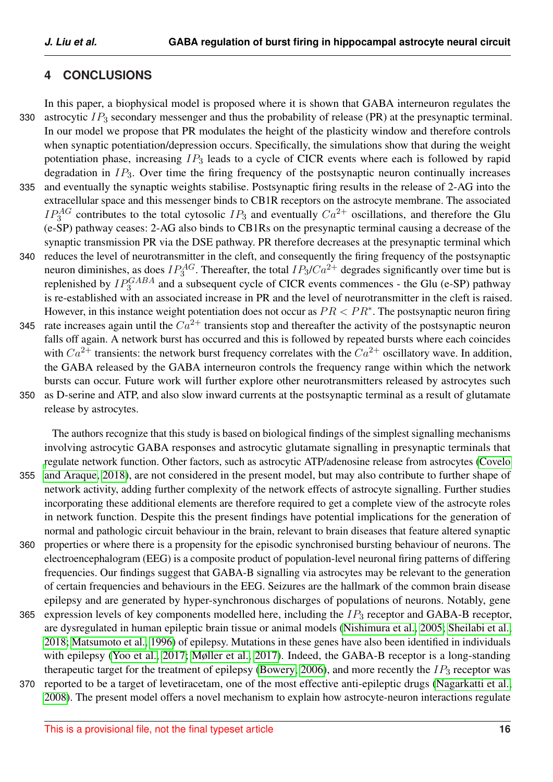# **4 CONCLUSIONS**

In this paper, a biophysical model is proposed where it is shown that GABA interneuron regulates the 330 astrocytic  $IP_3$  secondary messenger and thus the probability of release (PR) at the presynaptic terminal. In our model we propose that PR modulates the height of the plasticity window and therefore controls when synaptic potentiation/depression occurs. Specifically, the simulations show that during the weight potentiation phase, increasing  $IP_3$  leads to a cycle of CICR events where each is followed by rapid degradation in  $IP_3$ . Over time the firing frequency of the postsynaptic neuron continually increases 335 and eventually the synaptic weights stabilise. Postsynaptic firing results in the release of 2-AG into the extracellular space and this messenger binds to CB1R receptors on the astrocyte membrane. The associated  $IP_3^{AG}$  contributes to the total cytosolic  $IP_3$  and eventually  $Ca^{2+}$  oscillations, and therefore the Glu (e-SP) pathway ceases: 2-AG also binds to CB1Rs on the presynaptic terminal causing a decrease of the synaptic transmission PR via the DSE pathway. PR therefore decreases at the presynaptic terminal which 340 reduces the level of neurotransmitter in the cleft, and consequently the firing frequency of the postsynaptic neuron diminishes, as does  $IP_3^{AG}$ . Thereafter, the total  $IP_3/Ca^{2+}$  degrades significantly over time but is replenished by  $IP_3^{GABA}$  and a subsequent cycle of CICR events commences - the Glu (e-SP) pathway is re-established with an associated increase in PR and the level of neurotransmitter in the cleft is raised. However, in this instance weight potentiation does not occur as  $PR < PR^*$ . The postsynaptic neuron firing 345 rate increases again until the  $Ca^{2+}$  transients stop and thereafter the activity of the postsynaptic neuron falls off again. A network burst has occurred and this is followed by repeated bursts where each coincides with  $Ca^{2+}$  transients: the network burst frequency correlates with the  $Ca^{2+}$  oscillatory wave. In addition, the GABA released by the GABA interneuron controls the frequency range within which the network bursts can occur. Future work will further explore other neurotransmitters released by astrocytes such 350 as D-serine and ATP, and also slow inward currents at the postsynaptic terminal as a result of glutamate release by astrocytes.

The authors recognize that this study is based on biological findings of the simplest signalling mechanisms involving astrocytic GABA responses and astrocytic glutamate signalling in presynaptic terminals that [r](#page-16-3)egulate network function. Other factors, such as astrocytic ATP/adenosine release from astrocytes [\(Covelo](#page-16-3) 355 [and Araque, 2018\)](#page-16-3), are not considered in the present model, but may also contribute to further shape of network activity, adding further complexity of the network effects of astrocyte signalling. Further studies incorporating these additional elements are therefore required to get a complete view of the astrocyte roles in network function. Despite this the present findings have potential implications for the generation of normal and pathologic circuit behaviour in the brain, relevant to brain diseases that feature altered synaptic

- 360 properties or where there is a propensity for the episodic synchronised bursting behaviour of neurons. The electroencephalogram (EEG) is a composite product of population-level neuronal firing patterns of differing frequencies. Our findings suggest that GABA-B signalling via astrocytes may be relevant to the generation of certain frequencies and behaviours in the EEG. Seizures are the hallmark of the common brain disease epilepsy and are generated by hyper-synchronous discharges of populations of neurons. Notably, gene
- 365 expression levels of key components modelled here, including the  $IP_3$  receptor and GABA-B receptor, are dysregulated in human epileptic brain tissue or animal models [\(Nishimura et al., 2005;](#page-18-9) [Sheilabi et al.,](#page-18-10) [2018;](#page-18-10) [Matsumoto et al., 1996\)](#page-18-11) of epilepsy. Mutations in these genes have also been identified in individuals with epilepsy [\(Yoo et al., 2017;](#page-18-12) [Møller et al., 2017\)](#page-18-13). Indeed, the GABA-B receptor is a long-standing therapeutic target for the treatment of epilepsy [\(Bowery, 2006\)](#page-16-9), and more recently the  $IP_3$  receptor was
- 370 reported to be a target of levetiracetam, one of the most effective anti-epileptic drugs [\(Nagarkatti et al.,](#page-18-14) [2008\)](#page-18-14). The present model offers a novel mechanism to explain how astrocyte-neuron interactions regulate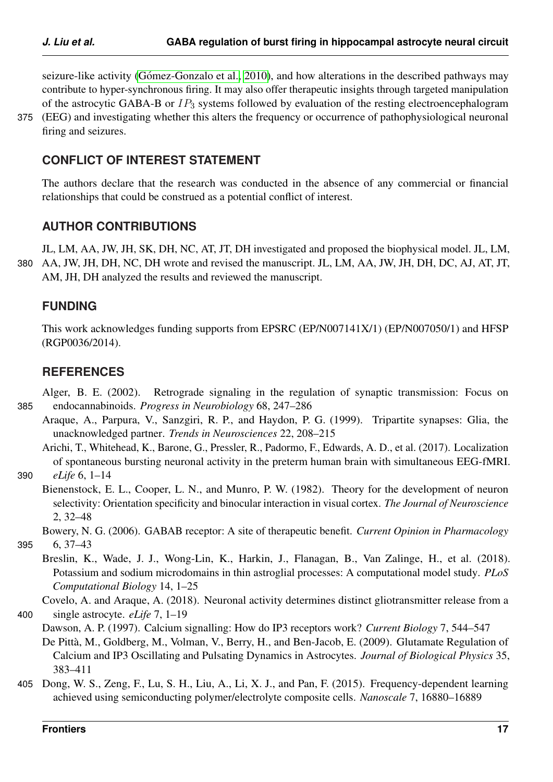firing and seizures.

seizure-like activity (Gómez-Gonzalo et al., 2010), and how alterations in the described pathways may contribute to hyper-synchronous firing. It may also offer therapeutic insights through targeted manipulation of the astrocytic GABA-B or  $IP_3$  systems followed by evaluation of the resting electroencephalogram 375 (EEG) and investigating whether this alters the frequency or occurrence of pathophysiological neuronal

# **CONFLICT OF INTEREST STATEMENT**

The authors declare that the research was conducted in the absence of any commercial or financial relationships that could be construed as a potential conflict of interest.

## **AUTHOR CONTRIBUTIONS**

JL, LM, AA, JW, JH, SK, DH, NC, AT, JT, DH investigated and proposed the biophysical model. JL, LM, 380 AA, JW, JH, DH, NC, DH wrote and revised the manuscript. JL, LM, AA, JW, JH, DH, DC, AJ, AT, JT, AM, JH, DH analyzed the results and reviewed the manuscript.

## **FUNDING**

This work acknowledges funding supports from EPSRC (EP/N007141X/1) (EP/N007050/1) and HFSP (RGP0036/2014).

## <span id="page-16-6"></span>**REFERENCES**

Alger, B. E. (2002). Retrograde signaling in the regulation of synaptic transmission: Focus on 385 endocannabinoids. *Progress in Neurobiology* 68, 247–286

<span id="page-16-1"></span>Araque, A., Parpura, V., Sanzgiri, R. P., and Haydon, P. G. (1999). Tripartite synapses: Glia, the unacknowledged partner. *Trends in Neurosciences* 22, 208–215

<span id="page-16-0"></span>Arichi, T., Whitehead, K., Barone, G., Pressler, R., Padormo, F., Edwards, A. D., et al. (2017). Localization of spontaneous bursting neuronal activity in the preterm human brain with simultaneous EEG-fMRI. 390 *eLife* 6, 1–14

<span id="page-16-7"></span>Bienenstock, E. L., Cooper, L. N., and Munro, P. W. (1982). Theory for the development of neuron selectivity: Orientation specificity and binocular interaction in visual cortex. *The Journal of Neuroscience* 2, 32–48

<span id="page-16-9"></span>Bowery, N. G. (2006). GABAB receptor: A site of therapeutic benefit. *Current Opinion in Pharmacology*

395 6, 37–43

<span id="page-16-2"></span>Breslin, K., Wade, J. J., Wong-Lin, K., Harkin, J., Flanagan, B., Van Zalinge, H., et al. (2018). Potassium and sodium microdomains in thin astroglial processes: A computational model study. *PLoS Computational Biology* 14, 1–25

<span id="page-16-3"></span>Covelo, A. and Araque, A. (2018). Neuronal activity determines distinct gliotransmitter release from a 400 single astrocyte. *eLife* 7, 1–19

<span id="page-16-5"></span><span id="page-16-4"></span>Dawson, A. P. (1997). Calcium signalling: How do IP3 receptors work? *Current Biology* 7, 544–547 De Pittà, M., Goldberg, M., Volman, V., Berry, H., and Ben-Jacob, E. (2009). Glutamate Regulation of Calcium and IP3 Oscillating and Pulsating Dynamics in Astrocytes. *Journal of Biological Physics* 35, 383–411

<span id="page-16-8"></span>405 Dong, W. S., Zeng, F., Lu, S. H., Liu, A., Li, X. J., and Pan, F. (2015). Frequency-dependent learning achieved using semiconducting polymer/electrolyte composite cells. *Nanoscale* 7, 16880–16889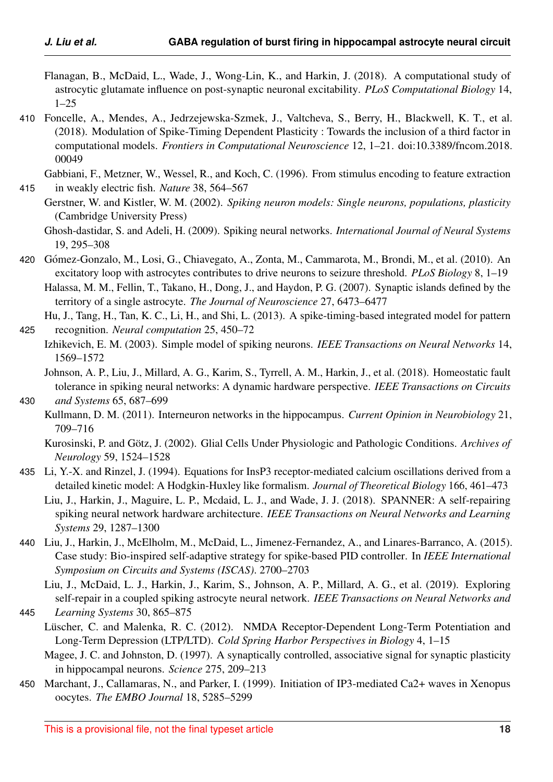- <span id="page-17-6"></span>Flanagan, B., McDaid, L., Wade, J., Wong-Lin, K., and Harkin, J. (2018). A computational study of astrocytic glutamate influence on post-synaptic neuronal excitability. *PLoS Computational Biology* 14, 1–25
- <span id="page-17-16"></span>410 Foncelle, A., Mendes, A., Jedrzejewska-Szmek, J., Valtcheva, S., Berry, H., Blackwell, K. T., et al. (2018). Modulation of Spike-Timing Dependent Plasticity : Towards the inclusion of a third factor in computational models. *Frontiers in Computational Neuroscience* 12, 1–21. doi:10.3389/fncom.2018. 00049

```
Gabbiani, F., Metzner, W., Wessel, R., and Koch, C. (1996). From stimulus encoding to feature extraction
415 in weakly electric fish. Nature 38, 564–567
```
- <span id="page-17-14"></span><span id="page-17-0"></span>Gerstner, W. and Kistler, W. M. (2002). *Spiking neuron models: Single neurons, populations, plasticity* (Cambridge University Press)
	- Ghosh-dastidar, S. and Adeli, H. (2009). Spiking neural networks. *International Journal of Neural Systems* 19, 295–308
- <span id="page-17-17"></span>420 Gómez-Gonzalo, M., Losi, G., Chiavegato, A., Zonta, M., Cammarota, M., Brondi, M., et al. (2010). An excitatory loop with astrocytes contributes to drive neurons to seizure threshold. *PLoS Biology* 8, 1–19 Halassa, M. M., Fellin, T., Takano, H., Dong, J., and Haydon, P. G. (2007). Synaptic islands defined by the

<span id="page-17-5"></span><span id="page-17-1"></span>territory of a single astrocyte. *The Journal of Neuroscience* 27, 6473–6477

Hu, J., Tang, H., Tan, K. C., Li, H., and Shi, L. (2013). A spike-timing-based integrated model for pattern 425 recognition. *Neural computation* 25, 450–72

<span id="page-17-3"></span>Izhikevich, E. M. (2003). Simple model of spiking neurons. *IEEE Transactions on Neural Networks* 14, 1569–1572

<span id="page-17-8"></span>Johnson, A. P., Liu, J., Millard, A. G., Karim, S., Tyrrell, A. M., Harkin, J., et al. (2018). Homeostatic fault tolerance in spiking neural networks: A dynamic hardware perspective. *IEEE Transactions on Circuits*

# 430 *and Systems* 65, 687–699

<span id="page-17-9"></span>Kullmann, D. M. (2011). Interneuron networks in the hippocampus. *Current Opinion in Neurobiology* 21, 709–716

- <span id="page-17-7"></span>435 Li, Y.-X. and Rinzel, J. (1994). Equations for InsP3 receptor-mediated calcium oscillations derived from a detailed kinetic model: A Hodgkin-Huxley like formalism. *Journal of Theoretical Biology* 166, 461–473
	- Liu, J., Harkin, J., Maguire, L. P., Mcdaid, L. J., and Wade, J. J. (2018). SPANNER: A self-repairing spiking neural network hardware architecture. *IEEE Transactions on Neural Networks and Learning Systems* 29, 1287–1300
- <span id="page-17-2"></span>440 Liu, J., Harkin, J., McElholm, M., McDaid, L., Jimenez-Fernandez, A., and Linares-Barranco, A. (2015). Case study: Bio-inspired self-adaptive strategy for spike-based PID controller. In *IEEE International Symposium on Circuits and Systems (ISCAS)*. 2700–2703

<span id="page-17-18"></span>Liu, J., McDaid, L. J., Harkin, J., Karim, S., Johnson, A. P., Millard, A. G., et al. (2019). Exploring self-repair in a coupled spiking astrocyte neural network. *IEEE Transactions on Neural Networks and*

- <span id="page-17-12"></span>445 *Learning Systems* 30, 865–875
	- Lüscher, C. and Malenka, R. C. (2012). NMDA Receptor-Dependent Long-Term Potentiation and Long-Term Depression (LTP/LTD). *Cold Spring Harbor Perspectives in Biology* 4, 1–15
		- Magee, J. C. and Johnston, D. (1997). A synaptically controlled, associative signal for synaptic plasticity in hippocampal neurons. *Science* 275, 209–213
- <span id="page-17-13"></span><span id="page-17-11"></span>450 Marchant, J., Callamaras, N., and Parker, I. (1999). Initiation of IP3-mediated Ca2+ waves in Xenopus oocytes. *The EMBO Journal* 18, 5285–5299

<span id="page-17-15"></span><span id="page-17-10"></span>Kurosinski, P. and Götz, J. (2002). Glial Cells Under Physiologic and Pathologic Conditions. Archives of *Neurology* 59, 1524–1528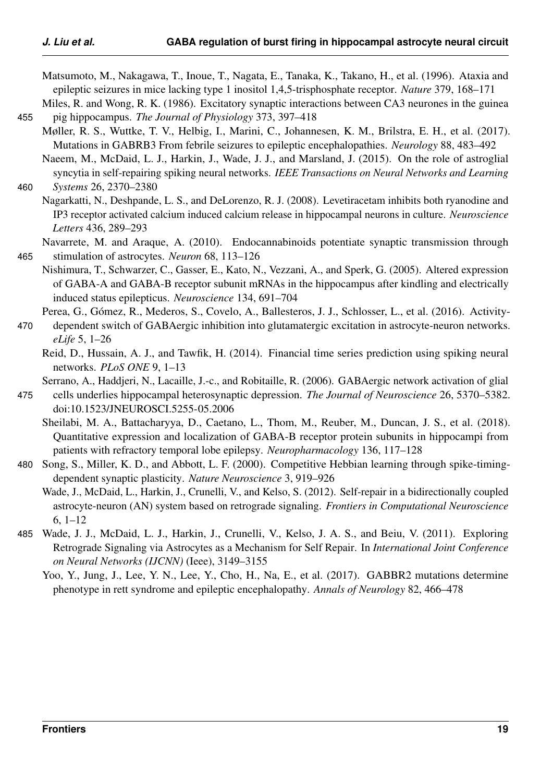<span id="page-18-11"></span><span id="page-18-2"></span>Matsumoto, M., Nakagawa, T., Inoue, T., Nagata, E., Tanaka, K., Takano, H., et al. (1996). Ataxia and epileptic seizures in mice lacking type 1 inositol 1,4,5-trisphosphate receptor. *Nature* 379, 168–171

Miles, R. and Wong, R. K. (1986). Excitatory synaptic interactions between CA3 neurones in the guinea 455 pig hippocampus. *The Journal of Physiology* 373, 397–418

<span id="page-18-13"></span>Møller, R. S., Wuttke, T. V., Helbig, I., Marini, C., Johannesen, K. M., Brilstra, E. H., et al. (2017). Mutations in GABRB3 From febrile seizures to epileptic encephalopathies. *Neurology* 88, 483–492

<span id="page-18-4"></span>Naeem, M., McDaid, L. J., Harkin, J., Wade, J. J., and Marsland, J. (2015). On the role of astroglial syncytia in self-repairing spiking neural networks. *IEEE Transactions on Neural Networks and Learning*

- <span id="page-18-14"></span>460 *Systems* 26, 2370–2380
	- Nagarkatti, N., Deshpande, L. S., and DeLorenzo, R. J. (2008). Levetiracetam inhibits both ryanodine and IP3 receptor activated calcium induced calcium release in hippocampal neurons in culture. *Neuroscience Letters* 436, 289–293
- <span id="page-18-8"></span>Navarrete, M. and Araque, A. (2010). Endocannabinoids potentiate synaptic transmission through 465 stimulation of astrocytes. *Neuron* 68, 113–126
- <span id="page-18-9"></span>Nishimura, T., Schwarzer, C., Gasser, E., Kato, N., Vezzani, A., and Sperk, G. (2005). Altered expression of GABA-A and GABA-B receptor subunit mRNAs in the hippocampus after kindling and electrically induced status epilepticus. *Neuroscience* 134, 691–704

<span id="page-18-6"></span>Perea, G., Gómez, R., Mederos, S., Covelo, A., Ballesteros, J. J., Schlosser, L., et al. (2016). Activity-

- 470 dependent switch of GABAergic inhibition into glutamatergic excitation in astrocyte-neuron networks. *eLife* 5, 1–26
	- Reid, D., Hussain, A. J., and Tawfik, H. (2014). Financial time series prediction using spiking neural networks. *PLoS ONE* 9, 1–13

<span id="page-18-7"></span><span id="page-18-1"></span>Serrano, A., Haddjeri, N., Lacaille, J.-c., and Robitaille, R. (2006). GABAergic network activation of glial

- <span id="page-18-10"></span>475 cells underlies hippocampal heterosynaptic depression. *The Journal of Neuroscience* 26, 5370–5382. doi:10.1523/JNEUROSCI.5255-05.2006
	- Sheilabi, M. A., Battacharyya, D., Caetano, L., Thom, M., Reuber, M., Duncan, J. S., et al. (2018). Quantitative expression and localization of GABA-B receptor protein subunits in hippocampi from patients with refractory temporal lobe epilepsy. *Neuropharmacology* 136, 117–128
- <span id="page-18-3"></span><span id="page-18-0"></span>480 Song, S., Miller, K. D., and Abbott, L. F. (2000). Competitive Hebbian learning through spike-timingdependent synaptic plasticity. *Nature Neuroscience* 3, 919–926
	- Wade, J., McDaid, L., Harkin, J., Crunelli, V., and Kelso, S. (2012). Self-repair in a bidirectionally coupled astrocyte-neuron (AN) system based on retrograde signaling. *Frontiers in Computational Neuroscience* 6, 1–12
- <span id="page-18-12"></span><span id="page-18-5"></span>485 Wade, J. J., McDaid, L. J., Harkin, J., Crunelli, V., Kelso, J. A. S., and Beiu, V. (2011). Exploring Retrograde Signaling via Astrocytes as a Mechanism for Self Repair. In *International Joint Conference on Neural Networks (IJCNN)* (Ieee), 3149–3155
	- Yoo, Y., Jung, J., Lee, Y. N., Lee, Y., Cho, H., Na, E., et al. (2017). GABBR2 mutations determine phenotype in rett syndrome and epileptic encephalopathy. *Annals of Neurology* 82, 466–478